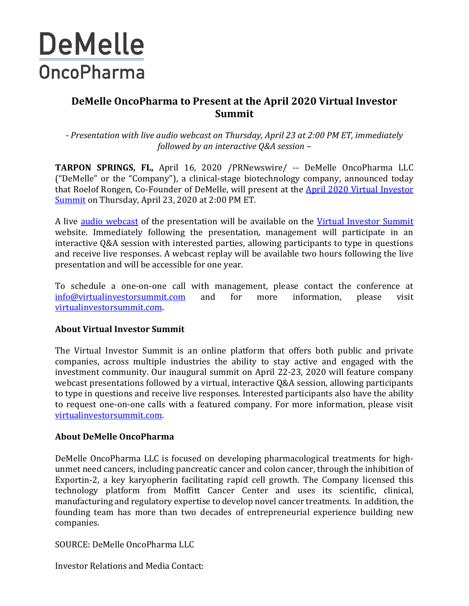## **DeMelle OncoPharma**

## **DeMelle OncoPharma to Present at the April 2020 Virtual Investor Summit**

*- Presentation with live audio webcast on Thursday, April 23 at 2:00 PM ET, immediately followed by an interactive Q&A session –*

**TARPON SPRINGS, FL,** April 16, 2020 /PRNewswire/ -- DeMelle OncoPharma LLC ("DeMelle" or the "Company"), a clinical-stage biotechnology company, announced today that Roelof Rongen, Co-Founder of DeMelle, will present at the [April 2020 Virtual Investor](https://www.virtualinvestorsummit.com/)  [Summit](https://www.virtualinvestorsummit.com/) on Thursday, April 23, 2020 at 2:00 PM ET.

A live [audio webcast](https://78449.themediaframe.com/dataconf/productusers/lavoie/mediaframe/37434/indexl.html) of the presentation will be available on the [Virtual Investor Summit](https://www.virtualinvestorsummit.com/copy-of-new-page-2) website. Immediately following the presentation, management will participate in an interactive Q&A session with interested parties, allowing participants to type in questions and receive live responses. A webcast replay will be available two hours following the live presentation and will be accessible for one year.

To schedule a one-on-one call with management, please contact the conference at [info@virtualinvestorsummit.com](mailto:info@virtualinvestorsummit.com) and for more information, please visit [virtualinvestorsummit.com.](https://www.virtualinvestorsummit.com/)

## **About Virtual Investor Summit**

The Virtual Investor Summit is an online platform that offers both public and private companies, across multiple industries the ability to stay active and engaged with the investment community. Our inaugural summit on April 22-23, 2020 will feature company webcast presentations followed by a virtual, interactive Q&A session, allowing participants to type in questions and receive live responses. Interested participants also have the ability to request one-on-one calls with a featured company. For more information, please visit [virtualinvestorsummit.com.](https://www.virtualinvestorsummit.com/)

## **About DeMelle OncoPharma**

DeMelle OncoPharma LLC is focused on developing pharmacological treatments for highunmet need cancers, including pancreatic cancer and colon cancer, through the inhibition of Exportin-2, a key karyopherin facilitating rapid cell growth. The Company licensed this technology platform from Moffitt Cancer Center and uses its scientific, clinical, manufacturing and regulatory expertise to develop novel cancer treatments. In addition, the founding team has more than two decades of entrepreneurial experience building new companies.

SOURCE: DeMelle OncoPharma LLC

Investor Relations and Media Contact: